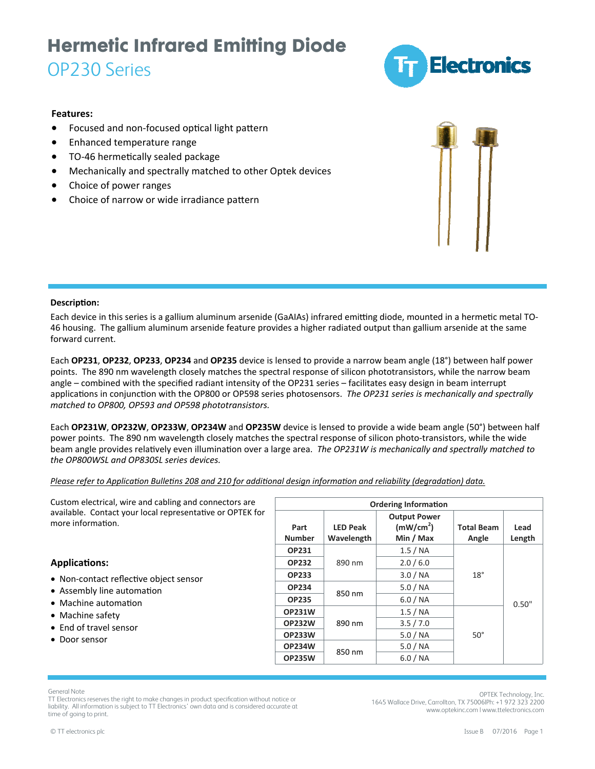## **Hermetic Infrared Emitting Diode**

### OP230 Series



### **Features:**

- Focused and non-focused optical light pattern
- Enhanced temperature range
- TO-46 hermetically sealed package
- Mechanically and spectrally matched to other Optek devices
- Choice of power ranges
- Choice of narrow or wide irradiance pattern



### **DescripƟon:**

Each device in this series is a gallium aluminum arsenide (GaAIAs) infrared emitting diode, mounted in a hermetic metal TO-46 housing. The gallium aluminum arsenide feature provides a higher radiated output than gallium arsenide at the same forward current.

Each **OP231**, **OP232**, **OP233**, **OP234** and **OP235** device is lensed to provide a narrow beam angle (18°) between half power points. The 890 nm wavelength closely matches the spectral response of silicon phototransistors, while the narrow beam angle – combined with the specified radiant intensity of the OP231 series – facilitates easy design in beam interrupt applicaƟons in conjuncƟon with the OP800 or OP598 series photosensors. *The OP231 series is mechanically and spectrally matched to OP800, OP593 and OP598 phototransistors.*

Each **OP231W**, **OP232W**, **OP233W**, **OP234W** and **OP235W** device is lensed to provide a wide beam angle (50°) between half power points. The 890 nm wavelength closely matches the spectral response of silicon photo-transistors, while the wide beam angle provides relaƟvely even illuminaƟon over a large area. *The OP231W is mechanically and spectrally matched to the OP800WSL and OP830SL series devices.*

Please refer to Application Bulletins 208 and 210 for additional design information and reliability (degradation) data.

| Custom electrical, wire and cabling and connectors are<br>available. Contact your local representative or OPTEK for<br>more information. | <b>Ordering Information</b> |                               |                                                           |                            |                |  |  |
|------------------------------------------------------------------------------------------------------------------------------------------|-----------------------------|-------------------------------|-----------------------------------------------------------|----------------------------|----------------|--|--|
|                                                                                                                                          | Part<br><b>Number</b>       | <b>LED Peak</b><br>Wavelength | <b>Output Power</b><br>(mW/cm <sup>2</sup> )<br>Min / Max | <b>Total Beam</b><br>Angle | Lead<br>Length |  |  |
| <b>Applications:</b>                                                                                                                     | <b>OP231</b>                |                               | 1.5 / NA                                                  | 18°                        | 0.50"          |  |  |
|                                                                                                                                          | <b>OP232</b>                | 890 nm                        | 2.0 / 6.0                                                 |                            |                |  |  |
| • Non-contact reflective object sensor                                                                                                   | <b>OP233</b>                |                               | 3.0 / NA                                                  |                            |                |  |  |
| • Assembly line automation<br>• Machine automation<br>• Machine safety<br>• End of travel sensor<br>• Door sensor                        | <b>OP234</b>                |                               | 5.0/NA                                                    |                            |                |  |  |
|                                                                                                                                          | <b>OP235</b>                | 850 nm                        | 6.0 / NA                                                  |                            |                |  |  |
|                                                                                                                                          | <b>OP231W</b>               |                               | 1.5 / NA                                                  | $50^\circ$                 |                |  |  |
|                                                                                                                                          | <b>OP232W</b>               | 890 nm                        | 3.5 / 7.0                                                 |                            |                |  |  |
|                                                                                                                                          | <b>OP233W</b>               |                               | 5.0/NA                                                    |                            |                |  |  |
|                                                                                                                                          | <b>OP234W</b>               | 850 nm                        | 5.0/NA                                                    |                            |                |  |  |
|                                                                                                                                          | <b>OP235W</b>               |                               | 6.0 / NA                                                  |                            |                |  |  |

General Note

TT Electronics reserves the right to make changes in product specification without notice or liability. All information is subject to TT Electronics' own data and is considered accurate at time of going to print.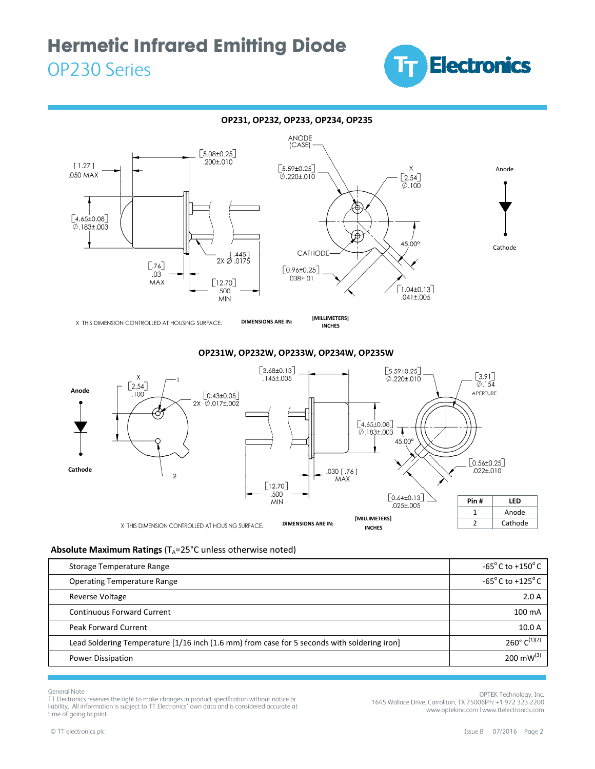# **Hermetic Infrared Emitting Diode**

### OP230 Series





X THIS DIMENSION CONTROLLED AT HOUSING SURFACE.

**INCHES**

### **OP231W, OP232W, OP233W, OP234W, OP235W**



### **Absolute Maximum Ratings** (T<sub>A</sub>=25°C unless otherwise noted)

| Storage Temperature Range                                                                   | $-65^{\circ}$ C to $+150^{\circ}$ C                     |
|---------------------------------------------------------------------------------------------|---------------------------------------------------------|
| <b>Operating Temperature Range</b>                                                          | -65 $\mathrm{^{\circ}}$ C to +125 $\mathrm{^{\circ}}$ C |
| <b>Reverse Voltage</b>                                                                      | 2.0A                                                    |
| <b>Continuous Forward Current</b>                                                           | $100 \text{ mA}$                                        |
| <b>Peak Forward Current</b>                                                                 | 10.0A                                                   |
| Lead Soldering Temperature [1/16 inch (1.6 mm) from case for 5 seconds with soldering iron] | $260^{\circ}$ C <sup>(1)(2)</sup>                       |
| <b>Power Dissipation</b>                                                                    | 200 mW $^{(3)}$                                         |

General Note

TT Electronics reserves the right to make changes in product specification without notice or liability. All information is subject to TT Electronics' own data and is considered accurate at time of going to print.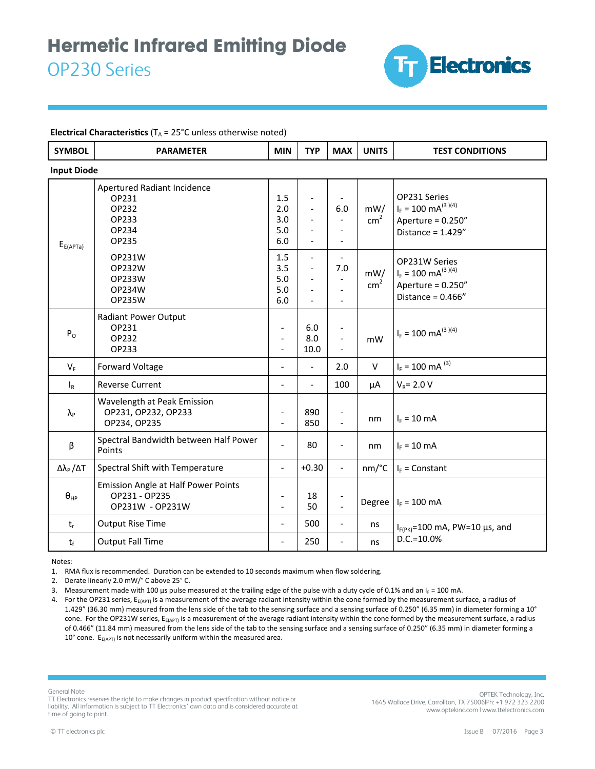

#### **Electrical Characteristics** ( $T_A = 25^{\circ}$ C unless otherwise noted)

| <b>SYMBOL</b>                    | <b>PARAMETER</b>                                                               | <b>MIN</b>                                         | <b>TYP</b>                       | <b>MAX</b>                                                             | <b>UNITS</b>           | <b>TEST CONDITIONS</b>                                                                           |  |  |  |  |
|----------------------------------|--------------------------------------------------------------------------------|----------------------------------------------------|----------------------------------|------------------------------------------------------------------------|------------------------|--------------------------------------------------------------------------------------------------|--|--|--|--|
| <b>Input Diode</b>               |                                                                                |                                                    |                                  |                                                                        |                        |                                                                                                  |  |  |  |  |
| $E_{E(APTa)}$                    | Apertured Radiant Incidence<br>OP231<br>OP232<br>OP233<br>OP234<br>OP235       | 1.5<br>2.0<br>3.0<br>5.0<br>6.0                    | $\overline{a}$                   | 6.0<br>$\overline{a}$                                                  | mW/<br>cm <sup>2</sup> | OP231 Series<br>$I_F = 100 \text{ mA}^{(3)(4)}$<br>Aperture = $0.250''$<br>Distance = $1.429''$  |  |  |  |  |
|                                  | OP231W<br>OP232W<br>OP233W<br>OP234W<br>OP235W                                 | 1.5<br>3.5<br>5.0<br>5.0<br>6.0                    | $\overline{a}$<br>$\overline{a}$ | 7.0<br>$\overline{\phantom{a}}$<br>$\overline{a}$<br>$\overline{a}$    | mW/<br>cm <sup>2</sup> | OP231W Series<br>$I_F = 100 \text{ mA}^{(3)(4)}$<br>Aperture = $0.250''$<br>Distance = $0.466''$ |  |  |  |  |
| P <sub>o</sub>                   | <b>Radiant Power Output</b><br>OP231<br>OP232<br>OP233                         | $\overline{a}$<br>$\overline{a}$<br>$\overline{a}$ | 6.0<br>8.0<br>10.0               | $\overline{\phantom{0}}$<br>$\overline{\phantom{a}}$<br>$\overline{a}$ | mW                     | $I_F = 100 \text{ mA}^{(3)(4)}$                                                                  |  |  |  |  |
| $V_F$                            | <b>Forward Voltage</b>                                                         | $\overline{a}$                                     | $\overline{a}$                   | 2.0                                                                    | $\vee$                 | $I_F = 100$ mA $^{(3)}$                                                                          |  |  |  |  |
| $I_R$                            | <b>Reverse Current</b>                                                         | $\overline{a}$                                     | $\overline{a}$                   | 100                                                                    | μA                     | $V_R = 2.0 V$                                                                                    |  |  |  |  |
| $\lambda_{\rm P}$                | Wavelength at Peak Emission<br>OP231, OP232, OP233<br>OP234, OP235             | $\overline{a}$                                     | 890<br>850                       | $\overline{\phantom{0}}$<br>$\overline{a}$                             | nm                     | $I_F = 10$ mA                                                                                    |  |  |  |  |
| β                                | Spectral Bandwidth between Half Power<br>Points                                | L.                                                 | 80                               | $\overline{\phantom{0}}$                                               | nm                     | $I_F = 10$ mA                                                                                    |  |  |  |  |
| $\Delta\lambda_{\rm P}/\Delta T$ | Spectral Shift with Temperature                                                | $\qquad \qquad -$                                  | $+0.30$                          | $\blacksquare$                                                         | nm/°C                  | $I_F =$ Constant                                                                                 |  |  |  |  |
| $\theta_{HP}$                    | <b>Emission Angle at Half Power Points</b><br>OP231 - OP235<br>OP231W - OP231W | $\overline{\phantom{a}}$<br>$\overline{a}$         | 18<br>50                         | $\qquad \qquad \blacksquare$<br>$\overline{a}$                         |                        | Degree $ I_F = 100$ mA                                                                           |  |  |  |  |
| $t_{r}$                          | <b>Output Rise Time</b>                                                        | $\overline{\phantom{a}}$                           | 500                              | $\overline{\phantom{a}}$                                               | ns                     | $I_{F(PK)}=100$ mA, PW=10 µs, and<br>$D.C.=10.0%$                                                |  |  |  |  |
| $t_{\rm f}$                      | <b>Output Fall Time</b>                                                        | $\blacksquare$                                     | 250                              | $\overline{\phantom{0}}$                                               | ns                     |                                                                                                  |  |  |  |  |

Notes:

1. RMA flux is recommended. Duration can be extended to 10 seconds maximum when flow soldering.

2. Derate linearly 2.0 mW/° C above 25° C.

3. Measurement made with 100 µs pulse measured at the trailing edge of the pulse with a duty cycle of 0.1% and an  $I_F = 100$  mA.

4. For the OP231 series,  $E_{F(APT)}$  is a measurement of the average radiant intensity within the cone formed by the measurement surface, a radius of 1.429" (36.30 mm) measured from the lens side of the tab to the sensing surface and a sensing surface of 0.250" (6.35 mm) in diameter forming a 10° cone. For the OP231W series,  $E_{E(APT)}$  is a measurement of the average radiant intensity within the cone formed by the measurement surface, a radius of 0.466" (11.84 mm) measured from the lens side of the tab to the sensing surface and a sensing surface of 0.250" (6.35 mm) in diameter forming a 10 $^{\circ}$  cone. E<sub>E(APT)</sub> is not necessarily uniform within the measured area.

General Note

TT Electronics reserves the right to make changes in product specification without notice or liability. All information is subject to TT Electronics' own data and is considered accurate at time of going to print.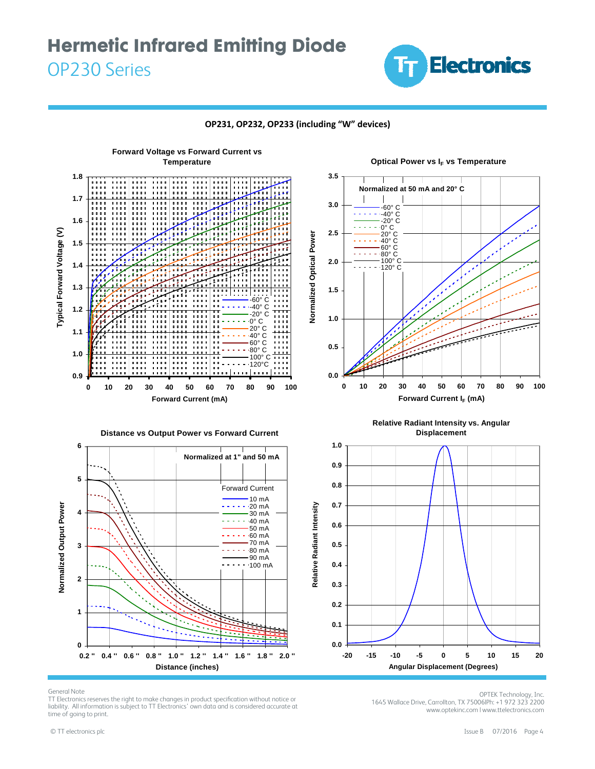### **Hermetic Infrared Emitting Diode**  OP230 Series







General Note

TT Electronics reserves the right to make changes in product specification without notice or liability. All information is subject to TT Electronics' own data and is considered accurate at time of going to print.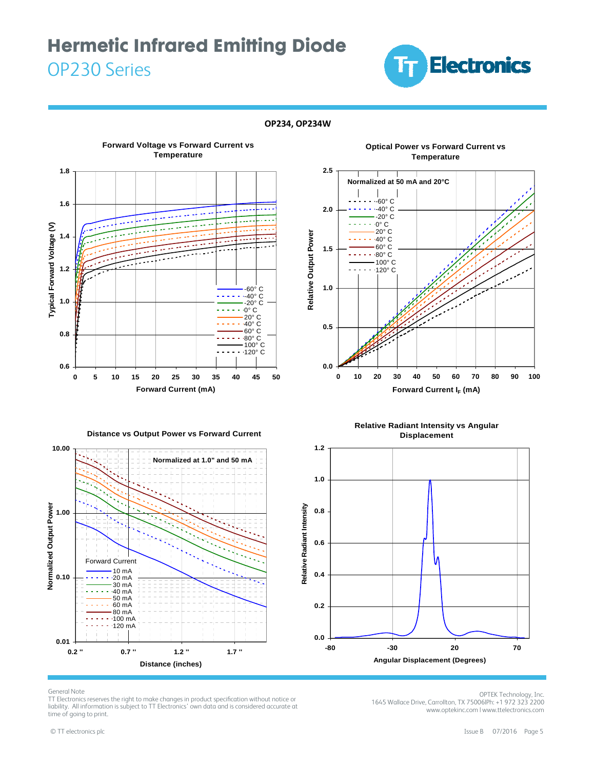### **Hermetic Infrared Emitting Diode**  OP230 Series



#### **OP234, OP234W**



**Optical Power vs Forward Current vs Temperature**



**Distance vs Output Power vs Forward Current**



**Relative Radiant Intensity vs Angular Displacement**



#### General Note

TT Electronics reserves the right to make changes in product specification without notice or liability. All information is subject to TT Electronics' own data and is considered accurate at time of going to print.

OPTEK Technology, Inc. 1645 Wallace Drive, Carrollton, TX 75006|Ph: +1 972 323 2200 www.optekinc.com | www.ttelectronics.com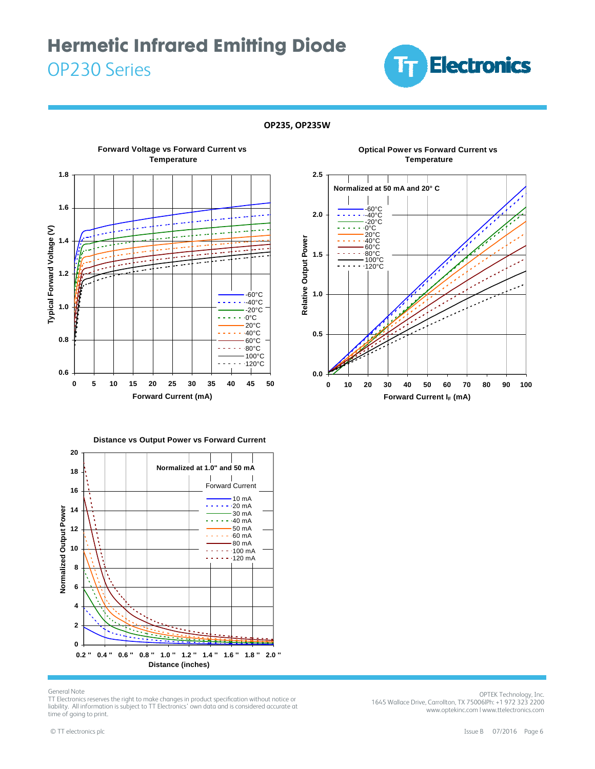### **Hermetic Infrared Emitting Diode**  OP230 Series



#### **OP235, OP235W**

**2.5**





**Optical Power vs Forward Current vs**





**Distance vs Output Power vs Forward Current**

#### General Note

TT Electronics reserves the right to make changes in product specification without notice or liability. All information is subject to TT Electronics' own data and is considered accurate at time of going to print.